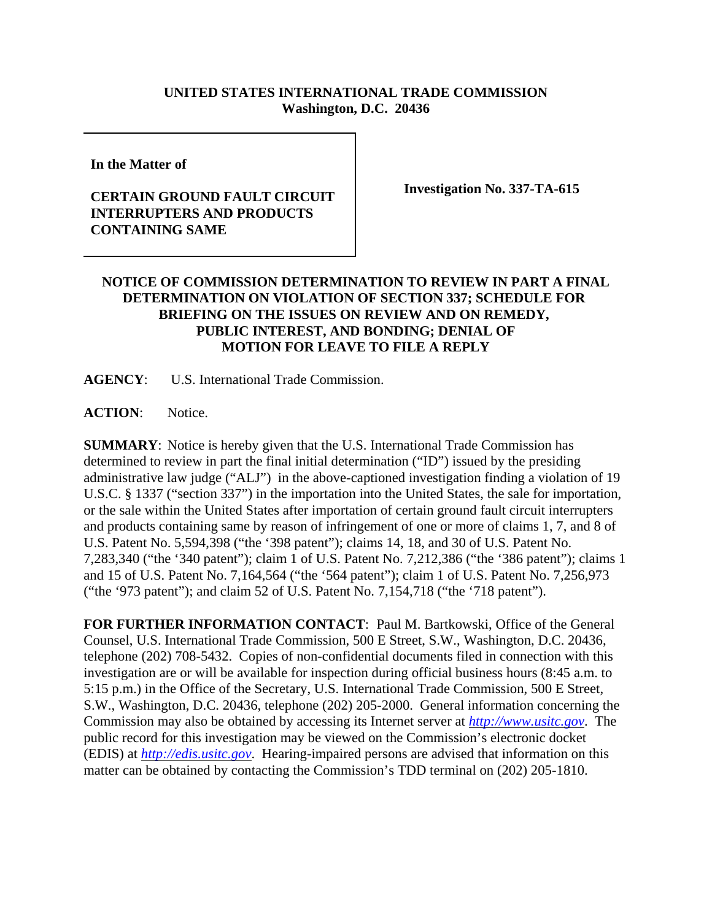## **UNITED STATES INTERNATIONAL TRADE COMMISSION Washington, D.C. 20436**

**In the Matter of** 

## **CERTAIN GROUND FAULT CIRCUIT INTERRUPTERS AND PRODUCTS CONTAINING SAME**

**Investigation No. 337-TA-615**

## **NOTICE OF COMMISSION DETERMINATION TO REVIEW IN PART A FINAL DETERMINATION ON VIOLATION OF SECTION 337; SCHEDULE FOR BRIEFING ON THE ISSUES ON REVIEW AND ON REMEDY, PUBLIC INTEREST, AND BONDING; DENIAL OF MOTION FOR LEAVE TO FILE A REPLY**

**AGENCY**: U.S. International Trade Commission.

**ACTION**: Notice.

**SUMMARY**: Notice is hereby given that the U.S. International Trade Commission has determined to review in part the final initial determination ("ID") issued by the presiding administrative law judge ("ALJ") in the above-captioned investigation finding a violation of 19 U.S.C. § 1337 ("section 337") in the importation into the United States, the sale for importation, or the sale within the United States after importation of certain ground fault circuit interrupters and products containing same by reason of infringement of one or more of claims 1, 7, and 8 of U.S. Patent No. 5,594,398 ("the '398 patent"); claims 14, 18, and 30 of U.S. Patent No. 7,283,340 ("the '340 patent"); claim 1 of U.S. Patent No. 7,212,386 ("the '386 patent"); claims 1 and 15 of U.S. Patent No. 7,164,564 ("the '564 patent"); claim 1 of U.S. Patent No. 7,256,973 ("the '973 patent"); and claim 52 of U.S. Patent No. 7,154,718 ("the '718 patent").

**FOR FURTHER INFORMATION CONTACT**: Paul M. Bartkowski, Office of the General Counsel, U.S. International Trade Commission, 500 E Street, S.W., Washington, D.C. 20436, telephone (202) 708-5432. Copies of non-confidential documents filed in connection with this investigation are or will be available for inspection during official business hours (8:45 a.m. to 5:15 p.m.) in the Office of the Secretary, U.S. International Trade Commission, 500 E Street, S.W., Washington, D.C. 20436, telephone (202) 205-2000. General information concerning the Commission may also be obtained by accessing its Internet server at *http://www.usitc.gov*. The public record for this investigation may be viewed on the Commission's electronic docket (EDIS) at *http://edis.usitc.gov*. Hearing-impaired persons are advised that information on this matter can be obtained by contacting the Commission's TDD terminal on (202) 205-1810.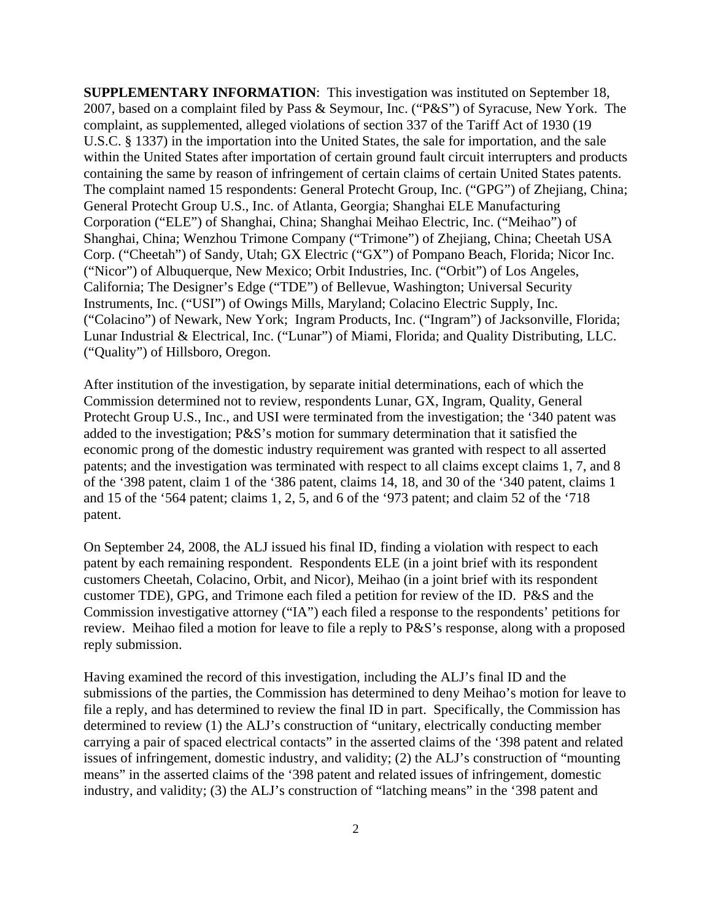**SUPPLEMENTARY INFORMATION**: This investigation was instituted on September 18, 2007, based on a complaint filed by Pass & Seymour, Inc. ("P&S") of Syracuse, New York. The complaint, as supplemented, alleged violations of section 337 of the Tariff Act of 1930 (19 U.S.C. § 1337) in the importation into the United States, the sale for importation, and the sale within the United States after importation of certain ground fault circuit interrupters and products containing the same by reason of infringement of certain claims of certain United States patents. The complaint named 15 respondents: General Protecht Group, Inc. ("GPG") of Zhejiang, China; General Protecht Group U.S., Inc. of Atlanta, Georgia; Shanghai ELE Manufacturing Corporation ("ELE") of Shanghai, China; Shanghai Meihao Electric, Inc. ("Meihao") of Shanghai, China; Wenzhou Trimone Company ("Trimone") of Zhejiang, China; Cheetah USA Corp. ("Cheetah") of Sandy, Utah; GX Electric ("GX") of Pompano Beach, Florida; Nicor Inc. ("Nicor") of Albuquerque, New Mexico; Orbit Industries, Inc. ("Orbit") of Los Angeles, California; The Designer's Edge ("TDE") of Bellevue, Washington; Universal Security Instruments, Inc. ("USI") of Owings Mills, Maryland; Colacino Electric Supply, Inc. ("Colacino") of Newark, New York; Ingram Products, Inc. ("Ingram") of Jacksonville, Florida; Lunar Industrial & Electrical, Inc. ("Lunar") of Miami, Florida; and Quality Distributing, LLC. ("Quality") of Hillsboro, Oregon.

After institution of the investigation, by separate initial determinations, each of which the Commission determined not to review, respondents Lunar, GX, Ingram, Quality, General Protecht Group U.S., Inc., and USI were terminated from the investigation; the '340 patent was added to the investigation; P&S's motion for summary determination that it satisfied the economic prong of the domestic industry requirement was granted with respect to all asserted patents; and the investigation was terminated with respect to all claims except claims 1, 7, and 8 of the '398 patent, claim 1 of the '386 patent, claims 14, 18, and 30 of the '340 patent, claims 1 and 15 of the '564 patent; claims 1, 2, 5, and 6 of the '973 patent; and claim 52 of the '718 patent.

On September 24, 2008, the ALJ issued his final ID, finding a violation with respect to each patent by each remaining respondent. Respondents ELE (in a joint brief with its respondent customers Cheetah, Colacino, Orbit, and Nicor), Meihao (in a joint brief with its respondent customer TDE), GPG, and Trimone each filed a petition for review of the ID. P&S and the Commission investigative attorney ("IA") each filed a response to the respondents' petitions for review. Meihao filed a motion for leave to file a reply to P&S's response, along with a proposed reply submission.

Having examined the record of this investigation, including the ALJ's final ID and the submissions of the parties, the Commission has determined to deny Meihao's motion for leave to file a reply, and has determined to review the final ID in part. Specifically, the Commission has determined to review (1) the ALJ's construction of "unitary, electrically conducting member carrying a pair of spaced electrical contacts" in the asserted claims of the '398 patent and related issues of infringement, domestic industry, and validity; (2) the ALJ's construction of "mounting means" in the asserted claims of the '398 patent and related issues of infringement, domestic industry, and validity; (3) the ALJ's construction of "latching means" in the '398 patent and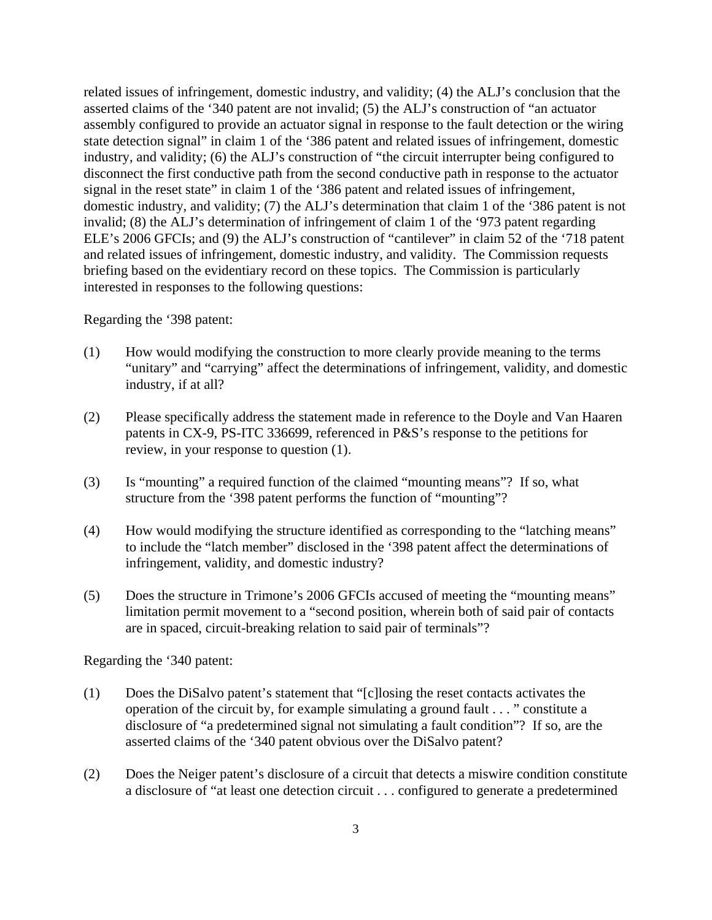related issues of infringement, domestic industry, and validity; (4) the ALJ's conclusion that the asserted claims of the '340 patent are not invalid; (5) the ALJ's construction of "an actuator assembly configured to provide an actuator signal in response to the fault detection or the wiring state detection signal" in claim 1 of the '386 patent and related issues of infringement, domestic industry, and validity; (6) the ALJ's construction of "the circuit interrupter being configured to disconnect the first conductive path from the second conductive path in response to the actuator signal in the reset state" in claim 1 of the '386 patent and related issues of infringement, domestic industry, and validity; (7) the ALJ's determination that claim 1 of the '386 patent is not invalid; (8) the ALJ's determination of infringement of claim 1 of the '973 patent regarding ELE's 2006 GFCIs; and (9) the ALJ's construction of "cantilever" in claim 52 of the '718 patent and related issues of infringement, domestic industry, and validity. The Commission requests briefing based on the evidentiary record on these topics. The Commission is particularly interested in responses to the following questions:

Regarding the '398 patent:

- (1) How would modifying the construction to more clearly provide meaning to the terms "unitary" and "carrying" affect the determinations of infringement, validity, and domestic industry, if at all?
- (2) Please specifically address the statement made in reference to the Doyle and Van Haaren patents in CX-9, PS-ITC 336699, referenced in P&S's response to the petitions for review, in your response to question (1).
- (3) Is "mounting" a required function of the claimed "mounting means"? If so, what structure from the '398 patent performs the function of "mounting"?
- (4) How would modifying the structure identified as corresponding to the "latching means" to include the "latch member" disclosed in the '398 patent affect the determinations of infringement, validity, and domestic industry?
- (5) Does the structure in Trimone's 2006 GFCIs accused of meeting the "mounting means" limitation permit movement to a "second position, wherein both of said pair of contacts are in spaced, circuit-breaking relation to said pair of terminals"?

Regarding the '340 patent:

- (1) Does the DiSalvo patent's statement that "[c]losing the reset contacts activates the operation of the circuit by, for example simulating a ground fault . . . " constitute a disclosure of "a predetermined signal not simulating a fault condition"? If so, are the asserted claims of the '340 patent obvious over the DiSalvo patent?
- (2) Does the Neiger patent's disclosure of a circuit that detects a miswire condition constitute a disclosure of "at least one detection circuit . . . configured to generate a predetermined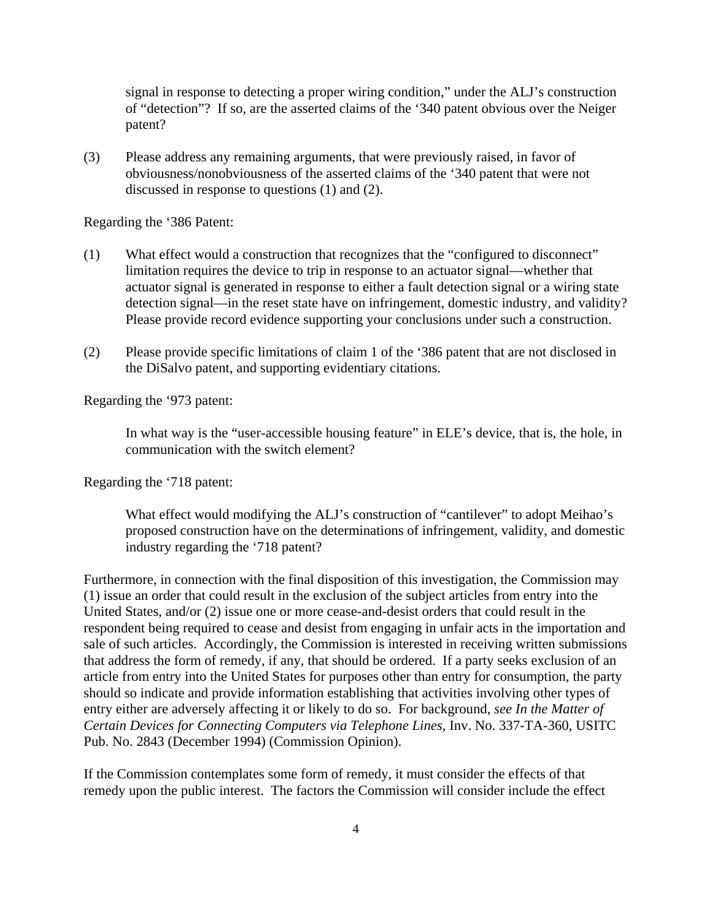signal in response to detecting a proper wiring condition," under the ALJ's construction of "detection"? If so, are the asserted claims of the '340 patent obvious over the Neiger patent?

(3) Please address any remaining arguments, that were previously raised, in favor of obviousness/nonobviousness of the asserted claims of the '340 patent that were not discussed in response to questions (1) and (2).

Regarding the '386 Patent:

- (1) What effect would a construction that recognizes that the "configured to disconnect" limitation requires the device to trip in response to an actuator signal—whether that actuator signal is generated in response to either a fault detection signal or a wiring state detection signal—in the reset state have on infringement, domestic industry, and validity? Please provide record evidence supporting your conclusions under such a construction.
- (2) Please provide specific limitations of claim 1 of the '386 patent that are not disclosed in the DiSalvo patent, and supporting evidentiary citations.

Regarding the '973 patent:

In what way is the "user-accessible housing feature" in ELE's device, that is, the hole, in communication with the switch element?

Regarding the '718 patent:

What effect would modifying the ALJ's construction of "cantilever" to adopt Meihao's proposed construction have on the determinations of infringement, validity, and domestic industry regarding the '718 patent?

Furthermore, in connection with the final disposition of this investigation, the Commission may (1) issue an order that could result in the exclusion of the subject articles from entry into the United States, and/or (2) issue one or more cease-and-desist orders that could result in the respondent being required to cease and desist from engaging in unfair acts in the importation and sale of such articles. Accordingly, the Commission is interested in receiving written submissions that address the form of remedy, if any, that should be ordered. If a party seeks exclusion of an article from entry into the United States for purposes other than entry for consumption, the party should so indicate and provide information establishing that activities involving other types of entry either are adversely affecting it or likely to do so. For background, *see In the Matter of Certain Devices for Connecting Computers via Telephone Lines*, Inv. No. 337-TA-360, USITC Pub. No. 2843 (December 1994) (Commission Opinion).

If the Commission contemplates some form of remedy, it must consider the effects of that remedy upon the public interest. The factors the Commission will consider include the effect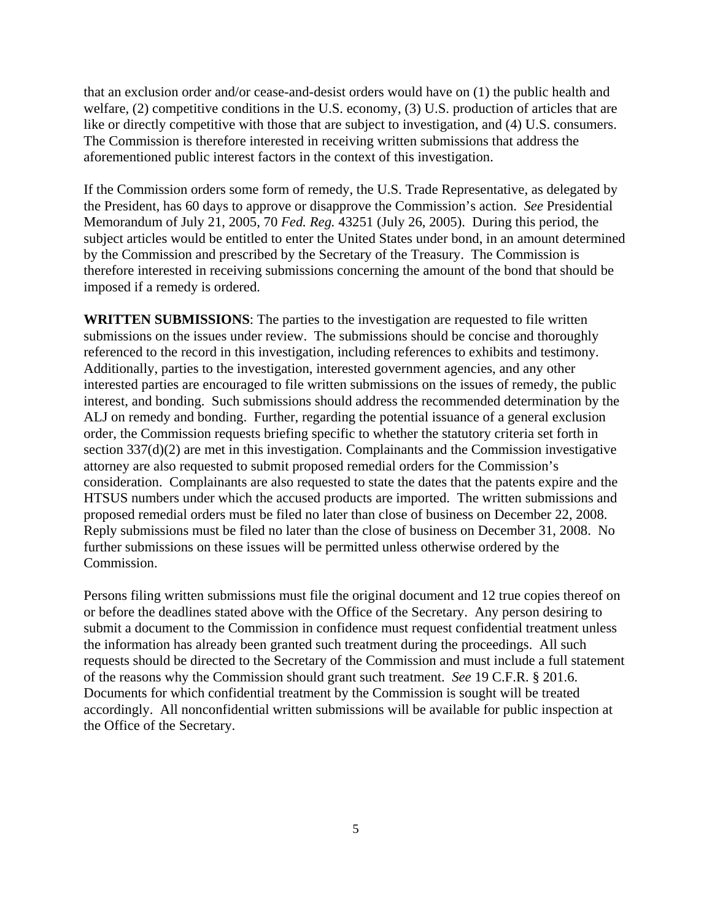that an exclusion order and/or cease-and-desist orders would have on (1) the public health and welfare, (2) competitive conditions in the U.S. economy, (3) U.S. production of articles that are like or directly competitive with those that are subject to investigation, and (4) U.S. consumers. The Commission is therefore interested in receiving written submissions that address the aforementioned public interest factors in the context of this investigation.

If the Commission orders some form of remedy, the U.S. Trade Representative, as delegated by the President, has 60 days to approve or disapprove the Commission's action. *See* Presidential Memorandum of July 21, 2005, 70 *Fed. Reg.* 43251 (July 26, 2005). During this period, the subject articles would be entitled to enter the United States under bond, in an amount determined by the Commission and prescribed by the Secretary of the Treasury. The Commission is therefore interested in receiving submissions concerning the amount of the bond that should be imposed if a remedy is ordered.

**WRITTEN SUBMISSIONS**: The parties to the investigation are requested to file written submissions on the issues under review. The submissions should be concise and thoroughly referenced to the record in this investigation, including references to exhibits and testimony. Additionally, parties to the investigation, interested government agencies, and any other interested parties are encouraged to file written submissions on the issues of remedy, the public interest, and bonding. Such submissions should address the recommended determination by the ALJ on remedy and bonding. Further, regarding the potential issuance of a general exclusion order, the Commission requests briefing specific to whether the statutory criteria set forth in section 337(d)(2) are met in this investigation. Complainants and the Commission investigative attorney are also requested to submit proposed remedial orders for the Commission's consideration. Complainants are also requested to state the dates that the patents expire and the HTSUS numbers under which the accused products are imported. The written submissions and proposed remedial orders must be filed no later than close of business on December 22, 2008. Reply submissions must be filed no later than the close of business on December 31, 2008. No further submissions on these issues will be permitted unless otherwise ordered by the Commission.

Persons filing written submissions must file the original document and 12 true copies thereof on or before the deadlines stated above with the Office of the Secretary. Any person desiring to submit a document to the Commission in confidence must request confidential treatment unless the information has already been granted such treatment during the proceedings. All such requests should be directed to the Secretary of the Commission and must include a full statement of the reasons why the Commission should grant such treatment. *See* 19 C.F.R. § 201.6. Documents for which confidential treatment by the Commission is sought will be treated accordingly. All nonconfidential written submissions will be available for public inspection at the Office of the Secretary.